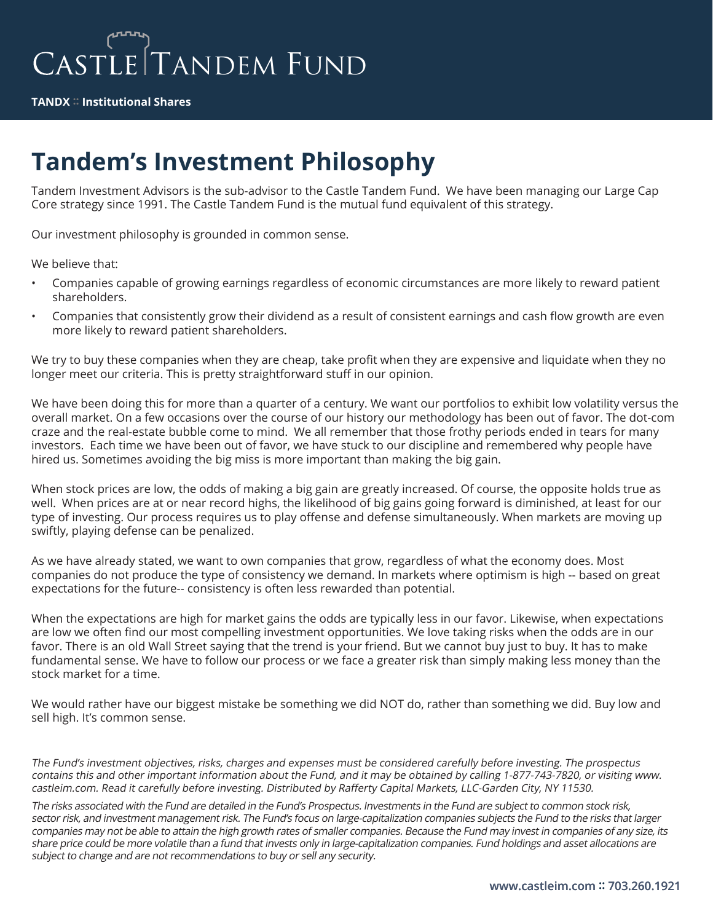**TANDX :: Institutional Shares**

## **Tandem's Investment Philosophy**

Tandem Investment Advisors is the sub-advisor to the Castle Tandem Fund. We have been managing our Large Cap<br>Core strategy since 1991. The Castle Tandem Fund is the mutual fund equivalent of this strategy. Core strategy since 1991. The Castle Tandem Fund is the mutual fund equivalent of this strategy.

Our investment philosophy is grounded in common sense.

We believe that:

- Companies capable of growing earnings regardless of economic circumstances are more likely to reward patient shareholders.
- fonsistently grow their dividend as a rest<br>vard patient shareholders. • Companies that consistently grow their dividend as a result of consistent earnings and cash flow growth are even more likely to reward patient shareholders.

We try to buy these companies when they are cheap, take profit when they are expensive and liquidate when they no longer meet our criteria. This is pretty straightforward stuff in our opinion.

we have been out of favor, we have stude<br>avoiding the big miss is more important We have been doing this for more than a quarter of a century. We want our portfolios to exhibit low volatility versus the overall market. On a few occasions over the course of our history our methodology has been out of favor. The dot-com craze and the real-estate bubble come to mind. We all remember that those frothy periods ended in tears for many investors. Each time we have been out of favor, we have stuck to our discipline and remembered why people have hired us. Sometimes avoiding the big miss is more important than making the big gain.

When stock prices are low, the odds of making a big gain are greatly increased. Of course, the opposite holds true as well. When prices are at or near record highs, the likelihood of big gains going forward is diminished, at least for our type of investing. Our process requires us to play offense and defense simultaneously. When markets are moving up swiftly, playing defense can be penalized.

As we have already stated, we want to own companies that grow, regardless of what the economy does. Most companies do not produce the type of consistency we demand. In markets where optimism is high -- based on great expectations for the future-- consistency is often less rewarded than potential.

When the expectations are high for market gains the odds are typically less in our favor. Likewise, when expectations are low we often find our most compelling investment opportunities. We love taking risks when the odds are in our favor. There is an old Wall Street saying that the trend is your friend. But we cannot buy just to buy. It has to make fundamental sense. We have to follow our process or we face a greater risk than simply making less money than the stock market for a time.

We would rather have our biggest mistake be something we did NOT do, rather than something we did. Buy low and sell high. It's common sense.

The Fund's investment objectives, risks, charges and expenses must be considered carefully before investing. The prospectus contains this and other important information about the Fund, and it may be obtained by calling 1-877-743-7820, or visiting www. castleim.com. Read it carefully before investing. Distributed by Rafferty Capital Markets, LLC-Garden City, NY 11530.

The risks associated with the Fund are detailed in the Fund's Prospectus. Investments in the Fund are subject to common stock risk, sector risk, and investment management risk. The Fund's focus on large-capitalization companies subjects the Fund to the risks that larger companies may not be able to attain the high growth rates of smaller companies. Because the Fund may invest in companies of any size, its share price could be more volatile than a fund that invests only in large-capitalization companies. Fund holdings and asset allocations are subject to change and are not recommendations to buy or sell any security.